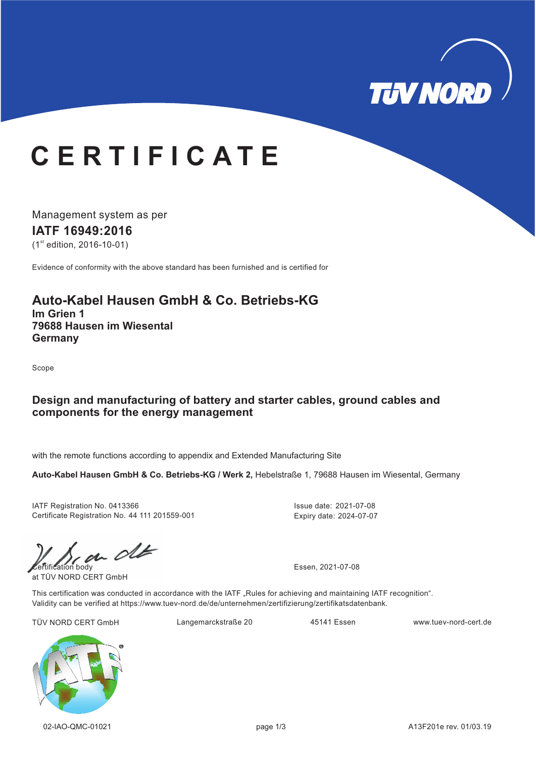

# **C E R T I F I C A T E**

Management system as per **IATF 16949: 16 20**  $(1<sup>st</sup>$  edition, 2016-10-01)

Evidence of conformity with the above standard has been furnished and is certified for

## **Auto-Kabel Hausen GmbH & Co. Betriebs-KG**

**Im Grien 1 79688 Hausen im Wiesental Germany**

Scope

### **Design and manufacturing of battery and starter cables, ground cables and components for the energy management**

with the remote functions according to appendix and Extended Manufacturing Site

**Auto-Kabel Hausen GmbH & Co. Betriebs-KG / Werk 2,** Hebelstraße 1, 79688 Hausen im Wiesental, Germany

IATF Registration No. 0413366 Certificate Registration No. 44 111 201559-001 Issue date: 2021-07-08 Expiry date: 2024-07-07

 $\mathcal{C}$   $\mathcal{C}$   $\mathcal{C}$   $\mathcal{C}$   $\mathcal{C}$  Essen, 2021-07-08

at TÜV NORD CERT GmbH

This certification was conducted in accordance with the IATF "Rules for achieving and maintaining IATF recognition". Validity can be verified at https://www.tuev-nord.de/de/unternehmen/zertifizierung/zertifikatsdatenbank.

TÜV NORD CERT GmbH Langemarckstraße 20 45141 Essen www.tuev-nord-cert.de

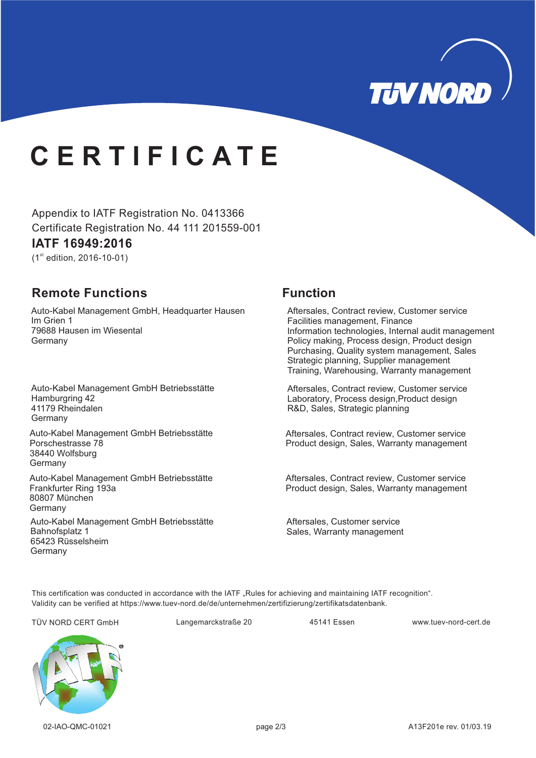

# **C E R T I F I C A T E**

Appendix to IATF Registration No. 0413366 Certificate Registration No. 44 111 201559-001

### **IATF 16949: 16 20**

 $(1<sup>st</sup>$  edition, 2016-10-01)

## **Remote Functions Function**

Auto-Kabel Management GmbH, Headquarter Hausen Germany Im Grien 1 79688 Hausen im Wiesental

Auto-Kabel Management GmbH Betriebsstätte Germany Hamburgring 42 41179 Rheindalen

Auto-Kabel Management GmbH Betriebsstätte **Germany** Porschestrasse 78 38440 Wolfsburg

Auto-Kabel Management GmbH Betriebsstätte Germany Frankfurter Ring 193a 80807 München

Auto-Kabel Management GmbH Betriebsstätte **Germany** Bahnofsplatz 1 65423 Rüsselsheim

Aftersales, Contract review, Customer service Facilities management, Finance Information technologies, Internal audit management Policy making, Process design, Product design Purchasing, Quality system management, Sales Strategic planning, Supplier management Training, Warehousing, Warranty management

Aftersales, Contract review, Customer service Laboratory, Process design, Product design R&D, Sales, Strategic planning

Aftersales, Contract review, Customer service Product design, Sales, Warranty management

Aftersales, Contract review, Customer service Product design, Sales, Warranty management

Aftersales, Customer service Sales, Warranty management

This certification was conducted in accordance with the IATF "Rules for achieving and maintaining IATF recognition". Validity can be verified at https://www.tuev-nord.de/de/unternehmen/zertifizierung/zertifikatsdatenbank.

TÜV NORD CERT GmbH Langemarckstraße 20 45141 Essen www.tuev-nord-cert.de